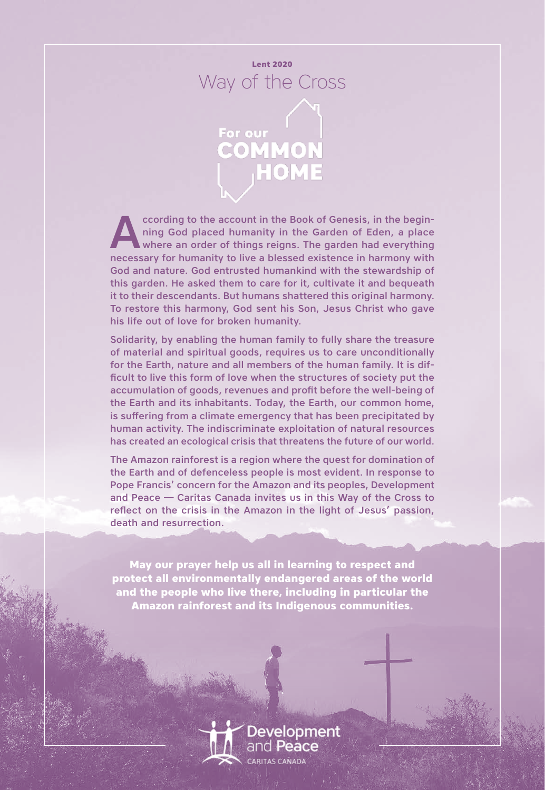



ccording to the account in the Book of Genesis, in the begin-<br>ning God placed humanity in the Garden of Eden, a place<br>where an order of things reigns. The garden had everything<br>possessory for humanity to live a blossed exi ning God placed humanity in the Garden of Eden, a place where an order of things reigns. The garden had everything necessary for humanity to live a blessed existence in harmony with God and nature. God entrusted humankind with the stewardship of this garden. He asked them to care for it, cultivate it and bequeath it to their descendants. But humans shattered this original harmony. To restore this harmony, God sent his Son, Jesus Christ who gave his life out of love for broken humanity.

Solidarity, by enabling the human family to fully share the treasure of material and spiritual goods, requires us to care unconditionally for the Earth, nature and all members of the human family. It is difficult to live this form of love when the structures of society put the accumulation of goods, revenues and profit before the well-being of the Earth and its inhabitants. Today, the Earth, our common home, is suffering from a climate emergency that has been precipitated by human activity. The indiscriminate exploitation of natural resources has created an ecological crisis that threatens the future of our world.

The Amazon rainforest is a region where the quest for domination of the Earth and of defenceless people is most evident. In response to Pope Francis' concern for the Amazon and its peoples, Development and Peace — Caritas Canada invites us in this Way of the Cross to reflect on the crisis in the Amazon in the light of Jesus' passion, death and resurrection.

**May our prayer help us all in learning to respect and protect all environmentally endangered areas of the world and the people who live there, including in particular the Amazon rainforest and its Indigenous communities.**

> **Development** and **Peace**

Way of the Cross | Lent 2020 1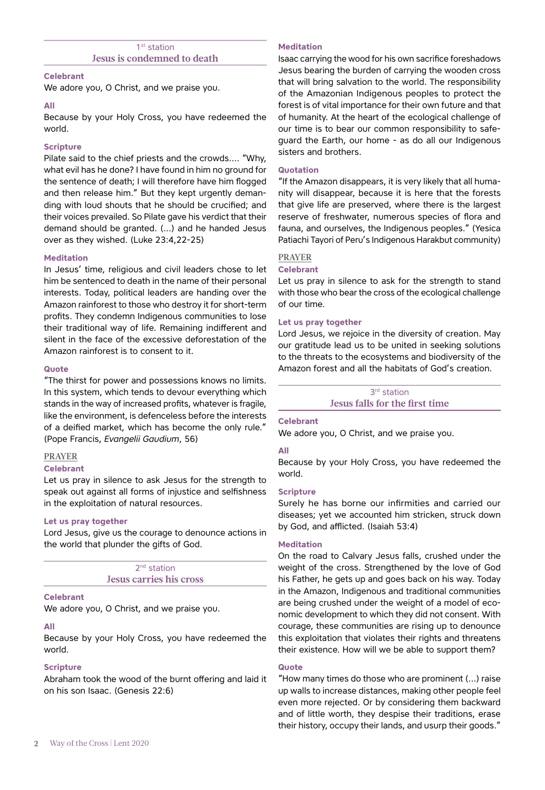# 1<sup>st</sup> station **Jesus is condemned to death**

## **Celebrant**

We adore you, O Christ, and we praise you.

## **All**

Because by your Holy Cross, you have redeemed the world.

# **Scripture**

Pilate said to the chief priests and the crowds…. "Why, what evil has he done? I have found in him no ground for the sentence of death; I will therefore have him flogged and then release him." But they kept urgently demanding with loud shouts that he should be crucified; and their voices prevailed. So Pilate gave his verdict that their demand should be granted. (…) and he handed Jesus over as they wished. (Luke 23:4,22-25)

# **Meditation**

In Jesus' time, religious and civil leaders chose to let him be sentenced to death in the name of their personal interests. Today, political leaders are handing over the Amazon rainforest to those who destroy it for short-term profits. They condemn Indigenous communities to lose their traditional way of life. Remaining indifferent and silent in the face of the excessive deforestation of the Amazon rainforest is to consent to it.

# **Quote**

"The thirst for power and possessions knows no limits. In this system, which tends to devour everything which stands in the way of increased profits, whatever is fragile, like the environment, is defenceless before the interests of a deified market, which has become the only rule." (Pope Francis, *Evangelii Gaudium*, 56)

# **PRAYER**

# **Celebrant**

Let us pray in silence to ask Jesus for the strength to speak out against all forms of injustice and selfishness in the exploitation of natural resources.

# **Let us pray together**

Lord Jesus, give us the courage to denounce actions in the world that plunder the gifts of God.

> 2<sup>nd</sup> station **Jesus carries his cross**

# **Celebrant**

We adore you, O Christ, and we praise you.

# **All**

Because by your Holy Cross, you have redeemed the world.

# **Scripture**

Abraham took the wood of the burnt offering and laid it on his son Isaac. (Genesis 22:6)

# **Meditation**

Isaac carrying the wood for his own sacrifice foreshadows Jesus bearing the burden of carrying the wooden cross that will bring salvation to the world. The responsibility of the Amazonian Indigenous peoples to protect the forest is of vital importance for their own future and that of humanity. At the heart of the ecological challenge of our time is to bear our common responsibility to safeguard the Earth, our home - as do all our Indigenous sisters and brothers.

# **Quotation**

"If the Amazon disappears, it is very likely that all humanity will disappear, because it is here that the forests that give life are preserved, where there is the largest reserve of freshwater, numerous species of flora and fauna, and ourselves, the Indigenous peoples." (Yesica Patiachi Tayori of Peru's Indigenous Harakbut community)

# **PRAYER**

# **Celebrant**

Let us pray in silence to ask for the strength to stand with those who bear the cross of the ecological challenge of our time.

# **Let us pray together**

Lord Jesus, we rejoice in the diversity of creation. May our gratitude lead us to be united in seeking solutions to the threats to the ecosystems and biodiversity of the Amazon forest and all the habitats of God's creation.

#### 3rd station **Jesus falls for the first time**

# **Celebrant**

We adore you, O Christ, and we praise you.

# **All**

Because by your Holy Cross, you have redeemed the world.

# **Scripture**

Surely he has borne our infirmities and carried our diseases; yet we accounted him stricken, struck down by God, and afflicted. (Isaiah 53:4)

# **Meditation**

On the road to Calvary Jesus falls, crushed under the weight of the cross. Strengthened by the love of God his Father, he gets up and goes back on his way. Today in the Amazon, Indigenous and traditional communities are being crushed under the weight of a model of economic development to which they did not consent. With courage, these communities are rising up to denounce this exploitation that violates their rights and threatens their existence. How will we be able to support them?

# **Quote**

"How many times do those who are prominent (…) raise up walls to increase distances, making other people feel even more rejected. Or by considering them backward and of little worth, they despise their traditions, erase their history, occupy their lands, and usurp their goods."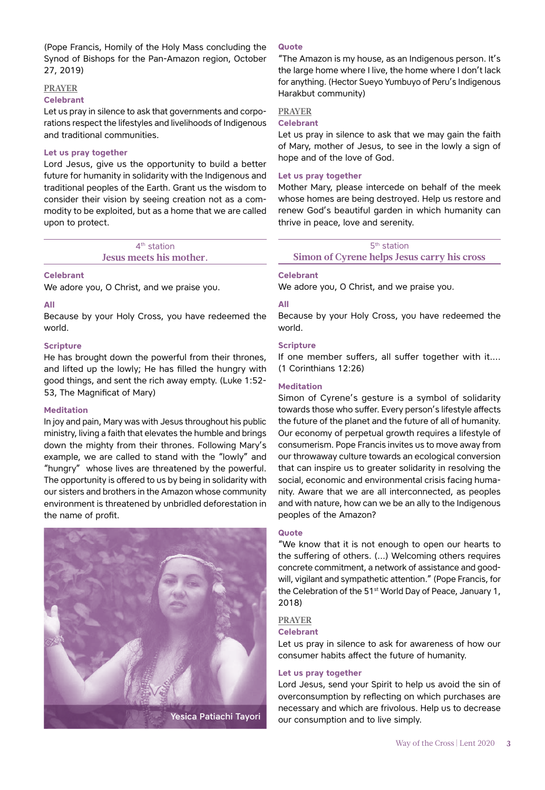(Pope Francis, Homily of the Holy Mass concluding the Synod of Bishops for the Pan-Amazon region, October 27, 2019)

## **PRAYER**

#### **Celebrant**

Let us pray in silence to ask that governments and corporations respect the lifestyles and livelihoods of Indigenous and traditional communities.

## **Let us pray together**

Lord Jesus, give us the opportunity to build a better future for humanity in solidarity with the Indigenous and traditional peoples of the Earth. Grant us the wisdom to consider their vision by seeing creation not as a commodity to be exploited, but as a home that we are called upon to protect.

> 4<sup>th</sup> station **Jesus meets his mother.**

## **Celebrant**

We adore you, O Christ, and we praise you.

## **All**

Because by your Holy Cross, you have redeemed the world.

# **Scripture**

He has brought down the powerful from their thrones, and lifted up the lowly; He has filled the hungry with good things, and sent the rich away empty. (Luke 1:52- 53, The Magnificat of Mary)

# **Meditation**

In joy and pain, Mary was with Jesus throughout his public ministry, living a faith that elevates the humble and brings down the mighty from their thrones. Following Mary's example, we are called to stand with the "lowly" and "hungry" whose lives are threatened by the powerful. The opportunity is offered to us by being in solidarity with our sisters and brothers in the Amazon whose community environment is threatened by unbridled deforestation in the name of profit.



# **Quote**

"The Amazon is my house, as an Indigenous person. It's the large home where I live, the home where I don't lack for anything. (Hector Sueyo Yumbuyo of Peru's Indigenous Harakbut community)

# **PRAYER**

# **Celebrant**

Let us pray in silence to ask that we may gain the faith of Mary, mother of Jesus, to see in the lowly a sign of hope and of the love of God.

# **Let us pray together**

Mother Mary, please intercede on behalf of the meek whose homes are being destroyed. Help us restore and renew God's beautiful garden in which humanity can thrive in peace, love and serenity.

# 5<sup>th</sup> station

**Simon of Cyrene helps Jesus carry his cross**

## **Celebrant**

We adore you, O Christ, and we praise you.

# **All**

Because by your Holy Cross, you have redeemed the world.

## **Scripture**

If one member suffers, all suffer together with it…. (1 Corinthians 12:26)

## **Meditation**

Simon of Cyrene's gesture is a symbol of solidarity towards those who suffer. Every person's lifestyle affects the future of the planet and the future of all of humanity. Our economy of perpetual growth requires a lifestyle of consumerism. Pope Francis invites us to move away from our throwaway culture towards an ecological conversion that can inspire us to greater solidarity in resolving the social, economic and environmental crisis facing humanity. Aware that we are all interconnected, as peoples and with nature, how can we be an ally to the Indigenous peoples of the Amazon?

## **Quote**

"We know that it is not enough to open our hearts to the suffering of others. (…) Welcoming others requires concrete commitment, a network of assistance and goodwill, vigilant and sympathetic attention." (Pope Francis, for the Celebration of the 51<sup>st</sup> World Day of Peace, January 1, 2018)

# **PRAYER**

## **Celebrant**

Let us pray in silence to ask for awareness of how our consumer habits affect the future of humanity.

# **Let us pray together**

Lord Jesus, send your Spirit to help us avoid the sin of overconsumption by reflecting on which purchases are necessary and which are frivolous. Help us to decrease Yesica Patiachi Tayori our consumption and to live simply.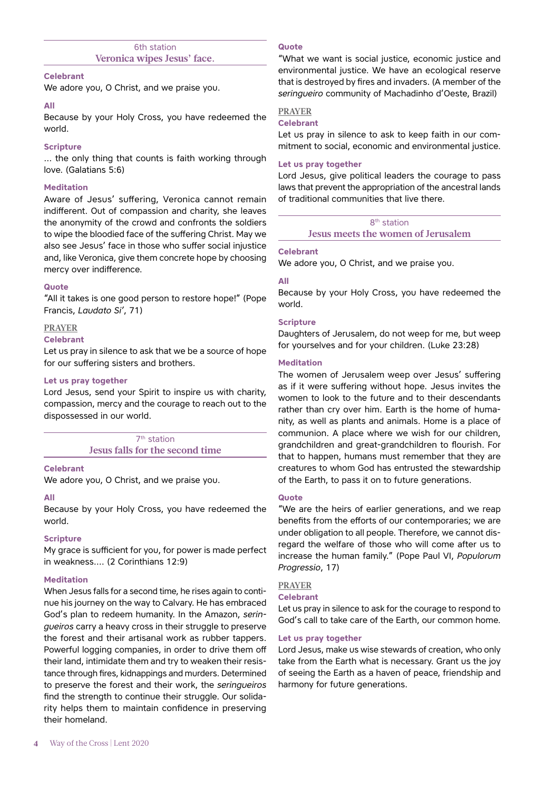# 6th station **Veronica wipes Jesus' face.**

## **Celebrant**

We adore you, O Christ, and we praise you.

## **All**

Because by your Holy Cross, you have redeemed the world.

# **Scripture**

… the only thing that counts is faith working through love. (Galatians 5:6)

## **Meditation**

Aware of Jesus' suffering, Veronica cannot remain indifferent. Out of compassion and charity, she leaves the anonymity of the crowd and confronts the soldiers to wipe the bloodied face of the suffering Christ. May we also see Jesus' face in those who suffer social injustice and, like Veronica, give them concrete hope by choosing mercy over indifference.

## **Quote**

"All it takes is one good person to restore hope!" (Pope Francis, *Laudato Si'*, 71)

## **PRAYER**

## **Celebrant**

Let us pray in silence to ask that we be a source of hope for our suffering sisters and brothers.

## **Let us pray together**

Lord Jesus, send your Spirit to inspire us with charity, compassion, mercy and the courage to reach out to the dispossessed in our world.

> 7<sup>th</sup> station **Jesus falls for the second time**

## **Celebrant**

We adore you, O Christ, and we praise you.

## **All**

Because by your Holy Cross, you have redeemed the world.

# **Scripture**

My grace is sufficient for you, for power is made perfect in weakness…. (2 Corinthians 12:9)

# **Meditation**

When Jesus falls for a second time, he rises again to continue his journey on the way to Calvary. He has embraced God's plan to redeem humanity. In the Amazon, *seringueiros* carry a heavy cross in their struggle to preserve the forest and their artisanal work as rubber tappers. Powerful logging companies, in order to drive them off their land, intimidate them and try to weaken their resistance through fires, kidnappings and murders. Determined to preserve the forest and their work, the *seringueiros* find the strength to continue their struggle. Our solidarity helps them to maintain confidence in preserving their homeland.

# **Quote**

"What we want is social justice, economic justice and environmental justice. We have an ecological reserve that is destroyed by fires and invaders. (A member of the *seringueiro* community of Machadinho d'Oeste, Brazil)

# **PRAYER**

# **Celebrant**

Let us pray in silence to ask to keep faith in our commitment to social, economic and environmental justice.

# **Let us pray together**

Lord Jesus, give political leaders the courage to pass laws that prevent the appropriation of the ancestral lands of traditional communities that live there.

> 8th station **Jesus meets the women of Jerusalem**

## **Celebrant**

We adore you, O Christ, and we praise you.

# **All**

Because by your Holy Cross, you have redeemed the world.

## **Scripture**

Daughters of Jerusalem, do not weep for me, but weep for yourselves and for your children. (Luke 23:28)

## **Meditation**

The women of Jerusalem weep over Jesus' suffering as if it were suffering without hope. Jesus invites the women to look to the future and to their descendants rather than cry over him. Earth is the home of humanity, as well as plants and animals. Home is a place of communion. A place where we wish for our children, grandchildren and great-grandchildren to flourish. For that to happen, humans must remember that they are creatures to whom God has entrusted the stewardship of the Earth, to pass it on to future generations.

## **Quote**

"We are the heirs of earlier generations, and we reap benefits from the efforts of our contemporaries; we are under obligation to all people. Therefore, we cannot disregard the welfare of those who will come after us to increase the human family." (Pope Paul VI, *Populorum Progressio*, 17)

# **PRAYER**

## **Celebrant**

Let us pray in silence to ask for the courage to respond to God's call to take care of the Earth, our common home.

## **Let us pray together**

Lord Jesus, make us wise stewards of creation, who only take from the Earth what is necessary. Grant us the joy of seeing the Earth as a haven of peace, friendship and harmony for future generations.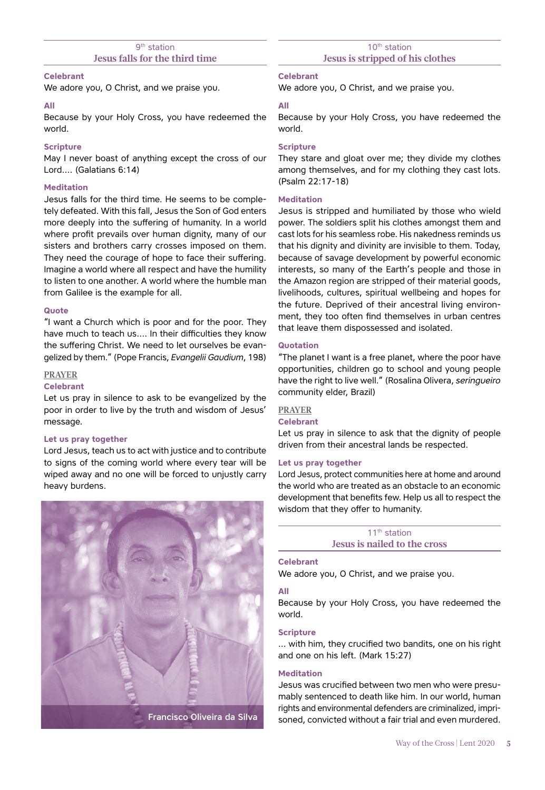# 9<sup>th</sup> station **Jesus falls for the third time**

## **Celebrant**

We adore you, O Christ, and we praise you.

## **All**

Because by your Holy Cross, you have redeemed the world.

# **Scripture**

May I never boast of anything except the cross of our Lord…. (Galatians 6:14)

# **Meditation**

Jesus falls for the third time. He seems to be completely defeated. With this fall, Jesus the Son of God enters more deeply into the suffering of humanity. In a world where profit prevails over human dignity, many of our sisters and brothers carry crosses imposed on them. They need the courage of hope to face their suffering. Imagine a world where all respect and have the humility to listen to one another. A world where the humble man from Galilee is the example for all.

## **Quote**

"I want a Church which is poor and for the poor. They have much to teach us…. In their difficulties they know the suffering Christ. We need to let ourselves be evangelized by them." (Pope Francis, *Evangelii Gaudium*, 198)

## **PRAYER**

## **Celebrant**

Let us pray in silence to ask to be evangelized by the poor in order to live by the truth and wisdom of Jesus' message.

## **Let us pray together**

Lord Jesus, teach us to act with justice and to contribute to signs of the coming world where every tear will be wiped away and no one will be forced to unjustly carry heavy burdens.



## **Celebrant**

We adore you, O Christ, and we praise you.

## **All**

Because by your Holy Cross, you have redeemed the world.

#### **Scripture**

They stare and gloat over me; they divide my clothes among themselves, and for my clothing they cast lots. (Psalm 22:17-18)

## **Meditation**

Jesus is stripped and humiliated by those who wield power. The soldiers split his clothes amongst them and cast lots for his seamless robe. His nakedness reminds us that his dignity and divinity are invisible to them. Today, because of savage development by powerful economic interests, so many of the Earth's people and those in the Amazon region are stripped of their material goods, livelihoods, cultures, spiritual wellbeing and hopes for the future. Deprived of their ancestral living environment, they too often find themselves in urban centres that leave them dispossessed and isolated.

# **Quotation**

"The planet I want is a free planet, where the poor have opportunities, children go to school and young people have the right to live well." (Rosalina Olivera, *seringueiro* community elder, Brazil)

# **PRAYER**

#### **Celebrant**

Let us pray in silence to ask that the dignity of people driven from their ancestral lands be respected.

#### **Let us pray together**

Lord Jesus, protect communities here at home and around the world who are treated as an obstacle to an economic development that benefits few. Help us all to respect the wisdom that they offer to humanity.

> 11<sup>th</sup> station **Jesus is nailed to the cross**

## **Celebrant**

We adore you, O Christ, and we praise you.

## **All**

Because by your Holy Cross, you have redeemed the world.

## **Scripture**

… with him, they crucified two bandits, one on his right and one on his left. (Mark 15:27)

## **Meditation**

Jesus was crucified between two men who were presumably sentenced to death like him. In our world, human rights and environmental defenders are criminalized, imprisoned, convicted without a fair trial and even murdered.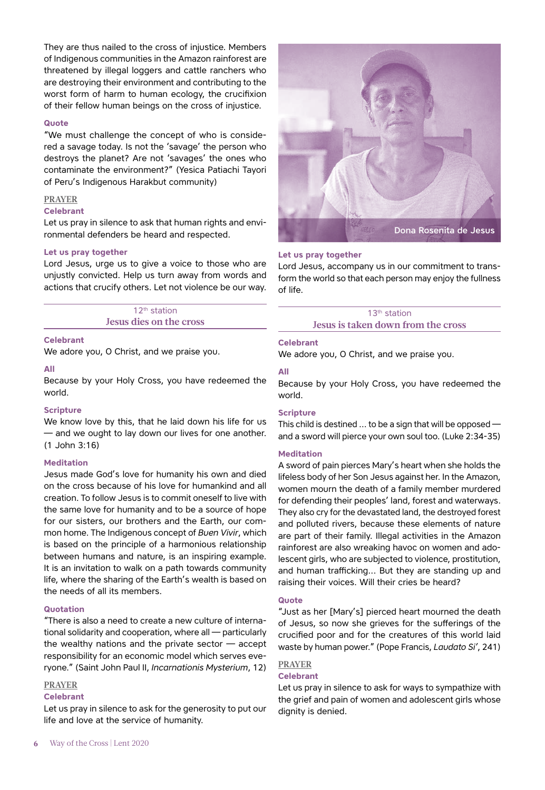They are thus nailed to the cross of injustice. Members of Indigenous communities in the Amazon rainforest are threatened by illegal loggers and cattle ranchers who are destroying their environment and contributing to the worst form of harm to human ecology, the crucifixion of their fellow human beings on the cross of injustice.

## **Quote**

"We must challenge the concept of who is considered a savage today. Is not the 'savage' the person who destroys the planet? Are not 'savages' the ones who contaminate the environment?" (Yesica Patiachi Tayori of Peru's Indigenous Harakbut community)

# **PRAYER**

# **Celebrant**

Let us pray in silence to ask that human rights and environmental defenders be heard and respected.

## **Let us pray together**

Lord Jesus, urge us to give a voice to those who are unjustly convicted. Help us turn away from words and actions that crucify others. Let not violence be our way.

> 12<sup>th</sup> station **Jesus dies on the cross**

## **Celebrant**

We adore you, O Christ, and we praise you.

## **All**

Because by your Holy Cross, you have redeemed the world.

## **Scripture**

We know love by this, that he laid down his life for us — and we ought to lay down our lives for one another. (1 John 3:16)

## **Meditation**

Jesus made God's love for humanity his own and died on the cross because of his love for humankind and all creation. To follow Jesus is to commit oneself to live with the same love for humanity and to be a source of hope for our sisters, our brothers and the Earth, our common home. The Indigenous concept of *Buen Vivir*, which is based on the principle of a harmonious relationship between humans and nature, is an inspiring example. It is an invitation to walk on a path towards community life, where the sharing of the Earth's wealth is based on the needs of all its members.

## **Quotation**

"There is also a need to create a new culture of international solidarity and cooperation, where all — particularly the wealthy nations and the private sector — accept responsibility for an economic model which serves everyone." (Saint John Paul II, *Incarnationis Mysterium*, 12)

## **PRAYER**

## **Celebrant**

Let us pray in silence to ask for the generosity to put our life and love at the service of humanity.



## **Let us pray together**

Lord Jesus, accompany us in our commitment to transform the world so that each person may enjoy the fullness of life.

> 13<sup>th</sup> station **Jesus is taken down from the cross**

## **Celebrant**

We adore you, O Christ, and we praise you.

## **All**

Because by your Holy Cross, you have redeemed the world.

## **Scripture**

This child is destined … to be a sign that will be opposed and a sword will pierce your own soul too. (Luke 2:34-35)

## **Meditation**

A sword of pain pierces Mary's heart when she holds the lifeless body of her Son Jesus against her. In the Amazon, women mourn the death of a family member murdered for defending their peoples' land, forest and waterways. They also cry for the devastated land, the destroyed forest and polluted rivers, because these elements of nature are part of their family. Illegal activities in the Amazon rainforest are also wreaking havoc on women and adolescent girls, who are subjected to violence, prostitution, and human trafficking... But they are standing up and raising their voices. Will their cries be heard?

## **Quote**

"Just as her [Mary's] pierced heart mourned the death of Jesus, so now she grieves for the sufferings of the crucified poor and for the creatures of this world laid waste by human power." (Pope Francis, *Laudato Si'*, 241)

# **PRAYER**

# **Celebrant**

Let us pray in silence to ask for ways to sympathize with the grief and pain of women and adolescent girls whose dignity is denied.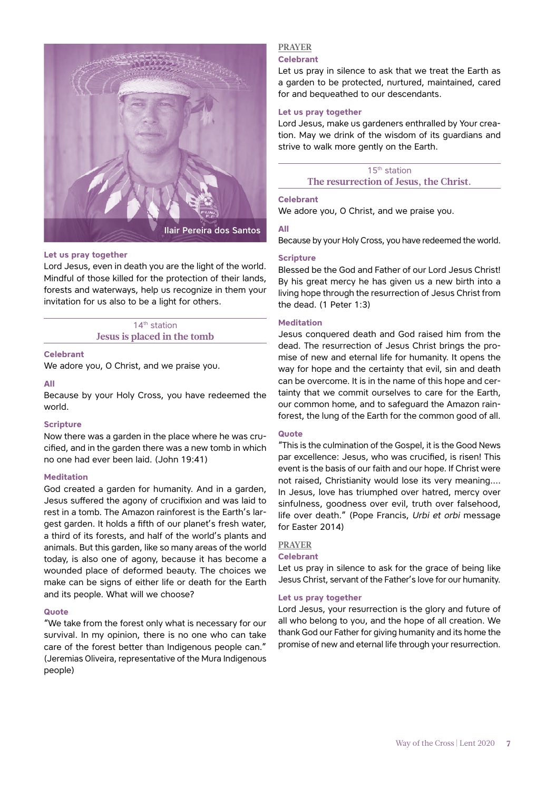

#### **Let us pray together**

Lord Jesus, even in death you are the light of the world. Mindful of those killed for the protection of their lands, forests and waterways, help us recognize in them your invitation for us also to be a light for others.

# 14<sup>th</sup> station **Jesus is placed in the tomb**

#### **Celebrant**

We adore you, O Christ, and we praise you.

#### **All**

Because by your Holy Cross, you have redeemed the world.

#### **Scripture**

Now there was a garden in the place where he was crucified, and in the garden there was a new tomb in which no one had ever been laid. (John 19:41)

#### **Meditation**

God created a garden for humanity. And in a garden, Jesus suffered the agony of crucifixion and was laid to rest in a tomb. The Amazon rainforest is the Earth's largest garden. It holds a fifth of our planet's fresh water, a third of its forests, and half of the world's plants and animals. But this garden, like so many areas of the world today, is also one of agony, because it has become a wounded place of deformed beauty. The choices we make can be signs of either life or death for the Earth and its people. What will we choose?

#### **Quote**

"We take from the forest only what is necessary for our survival. In my opinion, there is no one who can take care of the forest better than Indigenous people can." (Jeremias Oliveira, representative of the Mura Indigenous people)

#### **PRAYER Celebrant**

Let us pray in silence to ask that we treat the Earth as a garden to be protected, nurtured, maintained, cared for and bequeathed to our descendants.

## **Let us pray together**

Lord Jesus, make us gardeners enthralled by Your creation. May we drink of the wisdom of its guardians and strive to walk more gently on the Earth.

15th station **The resurrection of Jesus, the Christ.**

#### **Celebrant**

We adore you, O Christ, and we praise you.

# **All**

Because by your Holy Cross, you have redeemed the world.

#### **Scripture**

Blessed be the God and Father of our Lord Jesus Christ! By his great mercy he has given us a new birth into a living hope through the resurrection of Jesus Christ from the dead. (1 Peter 1:3)

## **Meditation**

Jesus conquered death and God raised him from the dead. The resurrection of Jesus Christ brings the promise of new and eternal life for humanity. It opens the way for hope and the certainty that evil, sin and death can be overcome. It is in the name of this hope and certainty that we commit ourselves to care for the Earth, our common home, and to safeguard the Amazon rainforest, the lung of the Earth for the common good of all.

## **Quote**

"This is the culmination of the Gospel, it is the Good News par excellence: Jesus, who was crucified, is risen! This event is the basis of our faith and our hope. If Christ were not raised, Christianity would lose its very meaning…. In Jesus, love has triumphed over hatred, mercy over sinfulness, goodness over evil, truth over falsehood, life over death." (Pope Francis, *Urbi et orbi* message for Easter 2014)

## **PRAYER**

#### **Celebrant**

Let us pray in silence to ask for the grace of being like Jesus Christ, servant of the Father's love for our humanity.

## **Let us pray together**

Lord Jesus, your resurrection is the glory and future of all who belong to you, and the hope of all creation. We thank God our Father for giving humanity and its home the promise of new and eternal life through your resurrection.